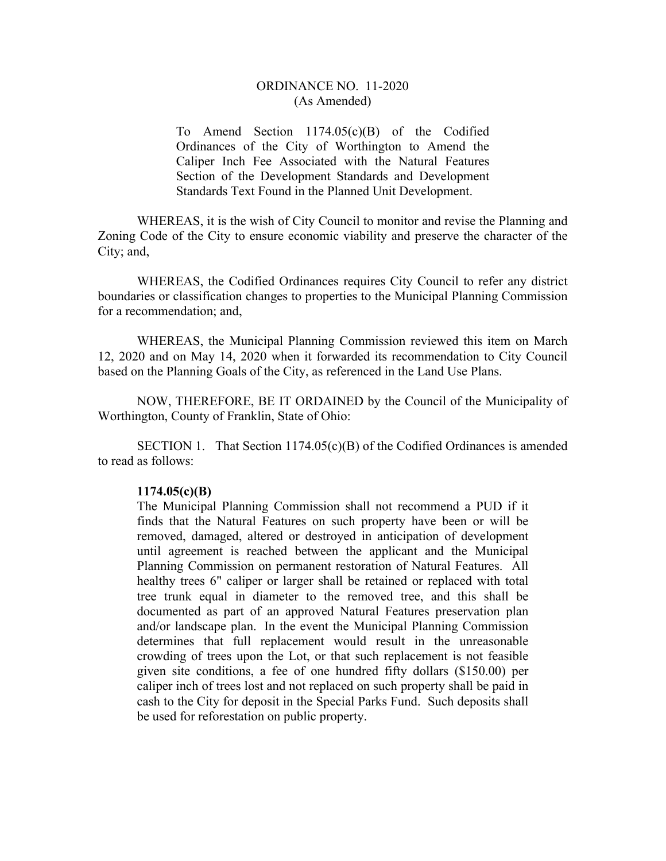## ORDINANCE NO. 11-2020 (As Amended)

To Amend Section 1174.05(c)(B) of the Codified Ordinances of the City of Worthington to Amend the Caliper Inch Fee Associated with the Natural Features Section of the Development Standards and Development Standards Text Found in the Planned Unit Development.

WHEREAS, it is the wish of City Council to monitor and revise the Planning and Zoning Code of the City to ensure economic viability and preserve the character of the City; and,

WHEREAS, the Codified Ordinances requires City Council to refer any district boundaries or classification changes to properties to the Municipal Planning Commission for a recommendation; and,

WHEREAS, the Municipal Planning Commission reviewed this item on March 12, 2020 and on May 14, 2020 when it forwarded its recommendation to City Council based on the Planning Goals of the City, as referenced in the Land Use Plans.

 NOW, THEREFORE, BE IT ORDAINED by the Council of the Municipality of Worthington, County of Franklin, State of Ohio:

SECTION 1. That Section  $1174.05(c)(B)$  of the Codified Ordinances is amended to read as follows:

## **1174.05(c)(B)**

The Municipal Planning Commission shall not recommend a PUD if it finds that the Natural Features on such property have been or will be removed, damaged, altered or destroyed in anticipation of development until agreement is reached between the applicant and the Municipal Planning Commission on permanent restoration of Natural Features. All healthy trees 6" caliper or larger shall be retained or replaced with total tree trunk equal in diameter to the removed tree, and this shall be documented as part of an approved Natural Features preservation plan and/or landscape plan. In the event the Municipal Planning Commission determines that full replacement would result in the unreasonable crowding of trees upon the Lot, or that such replacement is not feasible given site conditions, a fee of one hundred fifty dollars (\$150.00) per caliper inch of trees lost and not replaced on such property shall be paid in cash to the City for deposit in the Special Parks Fund. Such deposits shall be used for reforestation on public property.